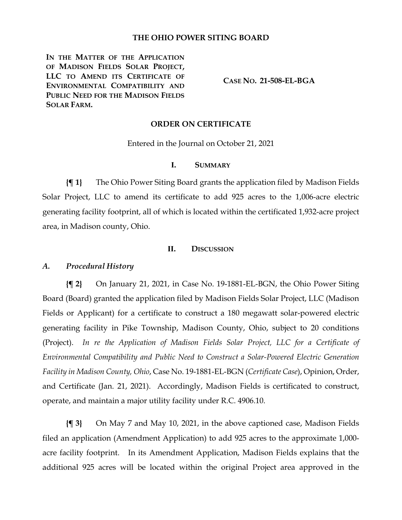# **THE OHIO POWER SITING BOARD**

**IN THE MATTER OF THE APPLICATION OF MADISON FIELDS SOLAR PROJECT, LLC TO AMEND ITS CERTIFICATE OF ENVIRONMENTAL COMPATIBILITY AND PUBLIC NEED FOR THE MADISON FIELDS SOLAR FARM.**

**CASE NO. 21-508-EL-BGA**

### **ORDER ON CERTIFICATE**

Entered in the Journal on October 21, 2021

### **I. SUMMARY**

**{¶ 1}** The Ohio Power Siting Board grants the application filed by Madison Fields Solar Project, LLC to amend its certificate to add 925 acres to the 1,006-acre electric generating facility footprint, all of which is located within the certificated 1,932-acre project area, in Madison county, Ohio.

# **II. DISCUSSION**

### *A. Procedural History*

**{¶ 2}** On January 21, 2021, in Case No. 19-1881-EL-BGN, the Ohio Power Siting Board (Board) granted the application filed by Madison Fields Solar Project, LLC (Madison Fields or Applicant) for a certificate to construct a 180 megawatt solar-powered electric generating facility in Pike Township, Madison County, Ohio, subject to 20 conditions (Project). *In re the Application of Madison Fields Solar Project, LLC for a Certificate of Environmental Compatibility and Public Need to Construct a Solar-Powered Electric Generation Facility in Madison County, Ohio*, Case No. 19-1881-EL-BGN (*Certificate Case*), Opinion, Order, and Certificate (Jan. 21, 2021). Accordingly, Madison Fields is certificated to construct, operate, and maintain a major utility facility under R.C. 4906.10.

**{¶ 3}** On May 7 and May 10, 2021, in the above captioned case, Madison Fields filed an application (Amendment Application) to add 925 acres to the approximate 1,000 acre facility footprint. In its Amendment Application, Madison Fields explains that the additional 925 acres will be located within the original Project area approved in the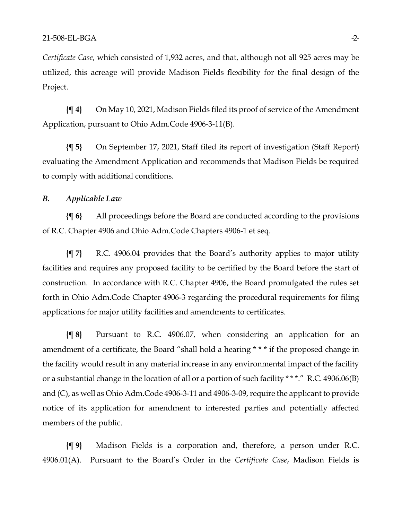*Certificate Case*, which consisted of 1,932 acres, and that, although not all 925 acres may be utilized, this acreage will provide Madison Fields flexibility for the final design of the Project.

**{¶ 4}** On May 10, 2021, Madison Fields filed its proof of service of the Amendment Application, pursuant to Ohio Adm.Code 4906-3-11(B).

**{¶ 5}** On September 17, 2021, Staff filed its report of investigation (Staff Report) evaluating the Amendment Application and recommends that Madison Fields be required to comply with additional conditions.

# *B. Applicable Law*

**{¶ 6}** All proceedings before the Board are conducted according to the provisions of R.C. Chapter 4906 and Ohio Adm.Code Chapters 4906-1 et seq.

**{¶ 7}** R.C. 4906.04 provides that the Board's authority applies to major utility facilities and requires any proposed facility to be certified by the Board before the start of construction. In accordance with R.C. Chapter 4906, the Board promulgated the rules set forth in Ohio Adm.Code Chapter 4906-3 regarding the procedural requirements for filing applications for major utility facilities and amendments to certificates.

**{¶ 8}** Pursuant to R.C. 4906.07, when considering an application for an amendment of a certificate, the Board "shall hold a hearing \* \* \* if the proposed change in the facility would result in any material increase in any environmental impact of the facility or a substantial change in the location of all or a portion of such facility \* \* \*." R.C. 4906.06(B) and (C), as well as Ohio Adm.Code 4906-3-11 and 4906-3-09, require the applicant to provide notice of its application for amendment to interested parties and potentially affected members of the public.

**{¶ 9}** Madison Fields is a corporation and, therefore, a person under R.C. 4906.01(A). Pursuant to the Board's Order in the *Certificate Case*, Madison Fields is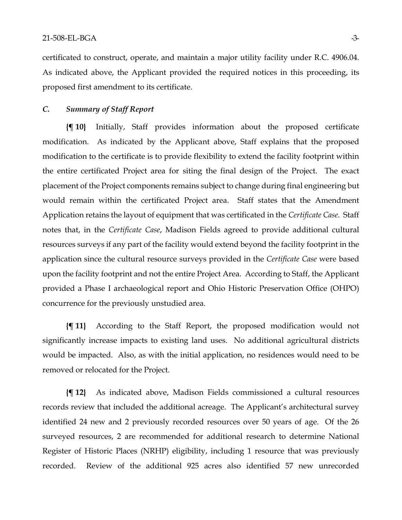certificated to construct, operate, and maintain a major utility facility under R.C. 4906.04. As indicated above, the Applicant provided the required notices in this proceeding, its proposed first amendment to its certificate.

# *C. Summary of Staff Report*

**{¶ 10}** Initially, Staff provides information about the proposed certificate modification. As indicated by the Applicant above, Staff explains that the proposed modification to the certificate is to provide flexibility to extend the facility footprint within the entire certificated Project area for siting the final design of the Project. The exact placement of the Project components remains subject to change during final engineering but would remain within the certificated Project area. Staff states that the Amendment Application retains the layout of equipment that was certificated in the *Certificate Case*. Staff notes that, in the *Certificate Case*, Madison Fields agreed to provide additional cultural resources surveys if any part of the facility would extend beyond the facility footprint in the application since the cultural resource surveys provided in the *Certificate Case* were based upon the facility footprint and not the entire Project Area. According to Staff, the Applicant provided a Phase I archaeological report and Ohio Historic Preservation Office (OHPO) concurrence for the previously unstudied area.

**{¶ 11}** According to the Staff Report, the proposed modification would not significantly increase impacts to existing land uses. No additional agricultural districts would be impacted. Also, as with the initial application, no residences would need to be removed or relocated for the Project.

**{¶ 12}** As indicated above, Madison Fields commissioned a cultural resources records review that included the additional acreage. The Applicant's architectural survey identified 24 new and 2 previously recorded resources over 50 years of age. Of the 26 surveyed resources, 2 are recommended for additional research to determine National Register of Historic Places (NRHP) eligibility, including 1 resource that was previously recorded. Review of the additional 925 acres also identified 57 new unrecorded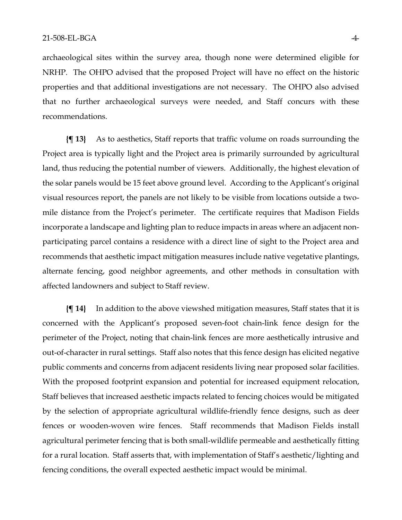archaeological sites within the survey area, though none were determined eligible for NRHP. The OHPO advised that the proposed Project will have no effect on the historic properties and that additional investigations are not necessary. The OHPO also advised that no further archaeological surveys were needed, and Staff concurs with these recommendations.

**{¶ 13}** As to aesthetics, Staff reports that traffic volume on roads surrounding the Project area is typically light and the Project area is primarily surrounded by agricultural land, thus reducing the potential number of viewers. Additionally, the highest elevation of the solar panels would be 15 feet above ground level. According to the Applicant's original visual resources report, the panels are not likely to be visible from locations outside a twomile distance from the Project's perimeter. The certificate requires that Madison Fields incorporate a landscape and lighting plan to reduce impacts in areas where an adjacent nonparticipating parcel contains a residence with a direct line of sight to the Project area and recommends that aesthetic impact mitigation measures include native vegetative plantings, alternate fencing, good neighbor agreements, and other methods in consultation with affected landowners and subject to Staff review.

**{¶ 14}** In addition to the above viewshed mitigation measures, Staff states that it is concerned with the Applicant's proposed seven-foot chain-link fence design for the perimeter of the Project, noting that chain-link fences are more aesthetically intrusive and out-of-character in rural settings. Staff also notes that this fence design has elicited negative public comments and concerns from adjacent residents living near proposed solar facilities. With the proposed footprint expansion and potential for increased equipment relocation, Staff believes that increased aesthetic impacts related to fencing choices would be mitigated by the selection of appropriate agricultural wildlife-friendly fence designs, such as deer fences or wooden-woven wire fences. Staff recommends that Madison Fields install agricultural perimeter fencing that is both small-wildlife permeable and aesthetically fitting for a rural location. Staff asserts that, with implementation of Staff's aesthetic/lighting and fencing conditions, the overall expected aesthetic impact would be minimal.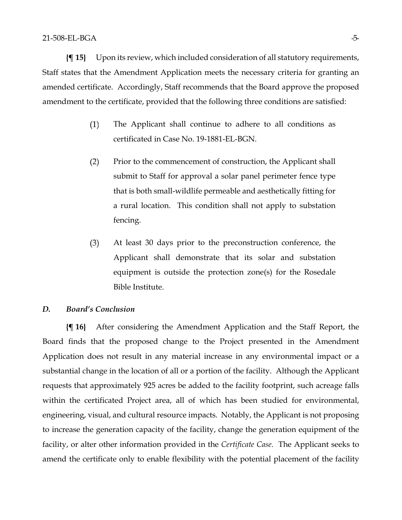**{¶ 15}** Upon its review, which included consideration of all statutory requirements, Staff states that the Amendment Application meets the necessary criteria for granting an amended certificate. Accordingly, Staff recommends that the Board approve the proposed amendment to the certificate, provided that the following three conditions are satisfied:

- $(1)$ The Applicant shall continue to adhere to all conditions as certificated in Case No. 19-1881-EL-BGN.
- $(2)$ Prior to the commencement of construction, the Applicant shall submit to Staff for approval a solar panel perimeter fence type that is both small-wildlife permeable and aesthetically fitting for a rural location. This condition shall not apply to substation fencing.
- At least 30 days prior to the preconstruction conference, the  $(3)$ Applicant shall demonstrate that its solar and substation equipment is outside the protection zone(s) for the Rosedale Bible Institute.

### *D. Board's Conclusion*

**{¶ 16}** After considering the Amendment Application and the Staff Report, the Board finds that the proposed change to the Project presented in the Amendment Application does not result in any material increase in any environmental impact or a substantial change in the location of all or a portion of the facility. Although the Applicant requests that approximately 925 acres be added to the facility footprint, such acreage falls within the certificated Project area, all of which has been studied for environmental, engineering, visual, and cultural resource impacts. Notably, the Applicant is not proposing to increase the generation capacity of the facility, change the generation equipment of the facility, or alter other information provided in the *Certificate Case*. The Applicant seeks to amend the certificate only to enable flexibility with the potential placement of the facility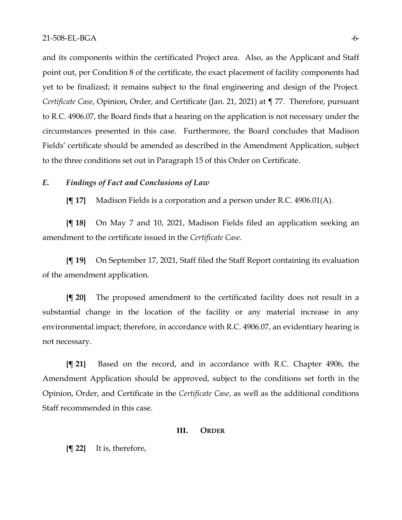and its components within the certificated Project area. Also, as the Applicant and Staff point out, per Condition 8 of the certificate, the exact placement of facility components had yet to be finalized; it remains subject to the final engineering and design of the Project. *Certificate Case*, Opinion, Order, and Certificate (Jan. 21, 2021) at ¶ 77. Therefore, pursuant to R.C. 4906.07, the Board finds that a hearing on the application is not necessary under the circumstances presented in this case. Furthermore, the Board concludes that Madison Fields' certificate should be amended as described in the Amendment Application, subject to the three conditions set out in Paragraph 15 of this Order on Certificate.

## *E. Findings of Fact and Conclusions of Law*

**{¶ 17}** Madison Fields is a corporation and a person under R.C. 4906.01(A).

**{¶ 18}** On May 7 and 10, 2021, Madison Fields filed an application seeking an amendment to the certificate issued in the *Certificate Case*.

**{¶ 19}** On September 17, 2021, Staff filed the Staff Report containing its evaluation of the amendment application.

**{¶ 20}** The proposed amendment to the certificated facility does not result in a substantial change in the location of the facility or any material increase in any environmental impact; therefore, in accordance with R.C. 4906.07, an evidentiary hearing is not necessary.

**{¶ 21}** Based on the record, and in accordance with R.C. Chapter 4906, the Amendment Application should be approved, subject to the conditions set forth in the Opinion, Order, and Certificate in the *Certificate Case*, as well as the additional conditions Staff recommended in this case.

#### **III. ORDER**

**{¶ 22}** It is, therefore,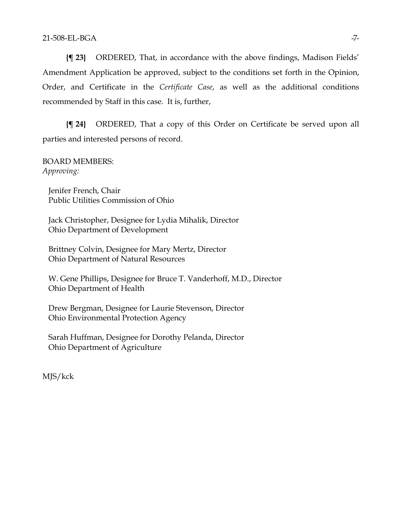**{¶ 23}** ORDERED, That, in accordance with the above findings, Madison Fields' Amendment Application be approved, subject to the conditions set forth in the Opinion, Order, and Certificate in the *Certificate Case*, as well as the additional conditions recommended by Staff in this case. It is, further,

**{¶ 24}** ORDERED, That a copy of this Order on Certificate be served upon all parties and interested persons of record.

BOARD MEMBERS: *Approving:*

Jenifer French, Chair Public Utilities Commission of Ohio

Jack Christopher, Designee for Lydia Mihalik, Director Ohio Department of Development

Brittney Colvin, Designee for Mary Mertz, Director Ohio Department of Natural Resources

W. Gene Phillips, Designee for Bruce T. Vanderhoff, M.D., Director Ohio Department of Health

Drew Bergman, Designee for Laurie Stevenson, Director Ohio Environmental Protection Agency

Sarah Huffman, Designee for Dorothy Pelanda, Director Ohio Department of Agriculture

MJS/kck